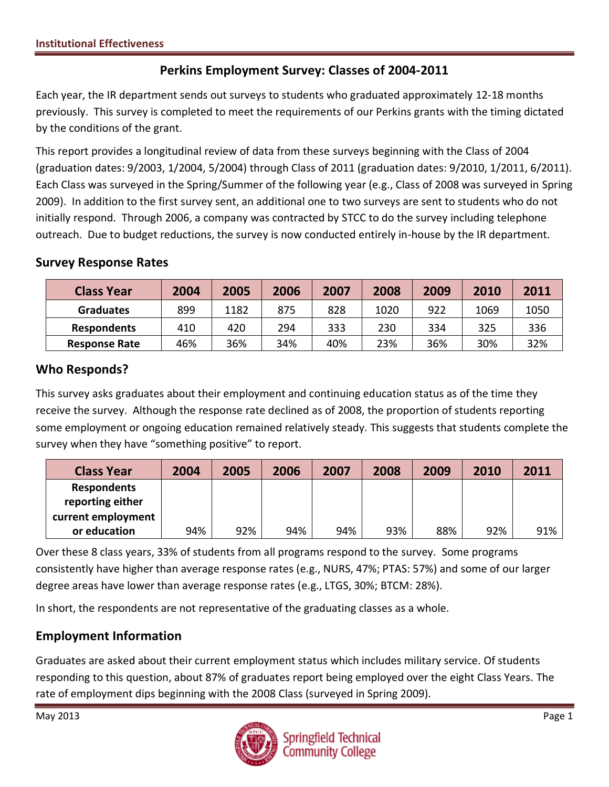# **Perkins Employment Survey: Classes of 2004-2011**

Each year, the IR department sends out surveys to students who graduated approximately 12-18 months previously. This survey is completed to meet the requirements of our Perkins grants with the timing dictated by the conditions of the grant.

This report provides a longitudinal review of data from these surveys beginning with the Class of 2004 (graduation dates: 9/2003, 1/2004, 5/2004) through Class of 2011 (graduation dates: 9/2010, 1/2011, 6/2011). Each Class was surveyed in the Spring/Summer of the following year (e.g., Class of 2008 was surveyed in Spring 2009). In addition to the first survey sent, an additional one to two surveys are sent to students who do not initially respond. Through 2006, a company was contracted by STCC to do the survey including telephone outreach. Due to budget reductions, the survey is now conducted entirely in-house by the IR department.

### **Survey Response Rates**

| <b>Class Year</b>    | 2004 | 2005 | 2006 | 2007 | 2008 | 2009 | 2010 | 2011 |
|----------------------|------|------|------|------|------|------|------|------|
| <b>Graduates</b>     | 899  | 1182 | 875  | 828  | 1020 | 922  | 1069 | 1050 |
| <b>Respondents</b>   | 410  | 420  | 294  | 333  | 230  | 334  | 325  | 336  |
| <b>Response Rate</b> | 46%  | 36%  | 34%  | 40%  | 23%  | 36%  | 30%  | 32%  |

## **Who Responds?**

This survey asks graduates about their employment and continuing education status as of the time they receive the survey. Although the response rate declined as of 2008, the proportion of students reporting some employment or ongoing education remained relatively steady. This suggests that students complete the survey when they have "something positive" to report.

| <b>Class Year</b>  | 2004 | 2005 | 2006 | 2007 | 2008 | 2009 | 2010 | 2011 |
|--------------------|------|------|------|------|------|------|------|------|
| <b>Respondents</b> |      |      |      |      |      |      |      |      |
| reporting either   |      |      |      |      |      |      |      |      |
| current employment |      |      |      |      |      |      |      |      |
| or education       | 94%  | 92%  | 94%  | 94%  | 93%  | 88%  | 92%  | 91%  |

Over these 8 class years, 33% of students from all programs respond to the survey. Some programs consistently have higher than average response rates (e.g., NURS, 47%; PTAS: 57%) and some of our larger degree areas have lower than average response rates (e.g., LTGS, 30%; BTCM: 28%).

In short, the respondents are not representative of the graduating classes as a whole.

## **Employment Information**

Graduates are asked about their current employment status which includes military service. Of students responding to this question, about 87% of graduates report being employed over the eight Class Years. The rate of employment dips beginning with the 2008 Class (surveyed in Spring 2009).